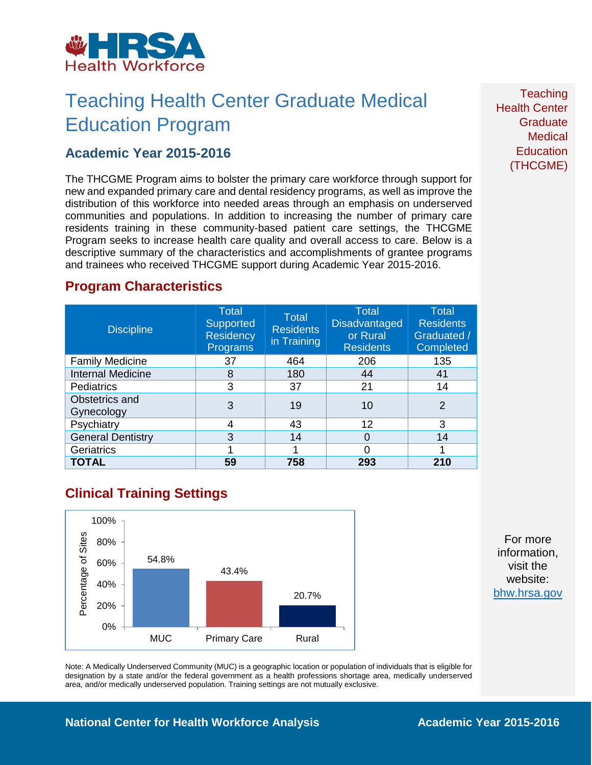

# Teaching Health Center Graduate Medical Education Program

### **Academic Year 2015-2016**

The THCGME Program aims to bolster the primary care workforce through support for new and expanded primary care and dental residency programs, as well as improve the distribution of this workforce into needed areas through an emphasis on underserved communities and populations. In addition to increasing the number of primary care residents training in these community-based patient care settings, the THCGME Program seeks to increase health care quality and overall access to care. Below is a descriptive summary of the characteristics and accomplishments of grantee programs and trainees who received THCGME support during Academic Year 2015-2016.

### **Program Characteristics**

| <b>Discipline</b>            | <b>Total</b><br>Supported<br><b>Residency</b><br><b>Programs</b> | <b>Total</b><br><b>Residents</b><br>in Training | <b>Total</b><br><b>Disadvantaged</b><br>or Rural<br><b>Residents</b> | <b>Total</b><br><b>Residents</b><br>Graduated /<br>Completed |
|------------------------------|------------------------------------------------------------------|-------------------------------------------------|----------------------------------------------------------------------|--------------------------------------------------------------|
| <b>Family Medicine</b>       | 37                                                               | 464                                             | 206                                                                  | 135                                                          |
| <b>Internal Medicine</b>     | 8                                                                | 180                                             | 44                                                                   | 41                                                           |
| <b>Pediatrics</b>            | 3                                                                | 37                                              | 21                                                                   | 14                                                           |
| Obstetrics and<br>Gynecology | 3                                                                | 19                                              | 10                                                                   | $\overline{2}$                                               |
| Psychiatry                   | 4                                                                | 43                                              | 12                                                                   | 3                                                            |
| <b>General Dentistry</b>     | 3                                                                | 14                                              | 0                                                                    | 14                                                           |
| Geriatrics                   |                                                                  |                                                 | Ω                                                                    |                                                              |
| <b>TOTAL</b>                 | 59                                                               | 758                                             | 293                                                                  | 210                                                          |

## **Clinical Training Settings**



For more information, visit the website: [bhw.hrsa.gov](http://bhw.hrsa.gov/)

Note: A Medically Underserved Community (MUC) is a geographic location or population of individuals that is eligible for designation by a state and/or the federal government as a health professions shortage area, medically underserved area, and/or medically underserved population. Training settings are not mutually exclusive.

#### **Teaching** Health Center **Graduate Medical Education** (THCGME)

#### **National Center for Health Workforce Analysis <b>Academic Year 2015-2016**